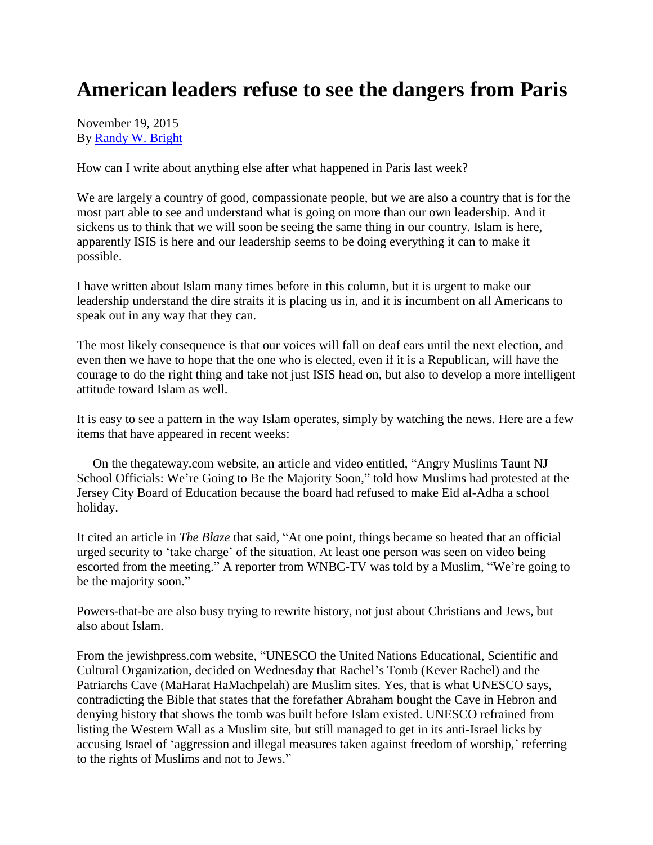## **American leaders refuse to see the dangers from Paris**

November 19, 2015 By [Randy W. Bright](http://www.tulsabeacon.com/author/slug-o6yd1v)

How can I write about anything else after what happened in Paris last week?

We are largely a country of good, compassionate people, but we are also a country that is for the most part able to see and understand what is going on more than our own leadership. And it sickens us to think that we will soon be seeing the same thing in our country. Islam is here, apparently ISIS is here and our leadership seems to be doing everything it can to make it possible.

I have written about Islam many times before in this column, but it is urgent to make our leadership understand the dire straits it is placing us in, and it is incumbent on all Americans to speak out in any way that they can.

The most likely consequence is that our voices will fall on deaf ears until the next election, and even then we have to hope that the one who is elected, even if it is a Republican, will have the courage to do the right thing and take not just ISIS head on, but also to develop a more intelligent attitude toward Islam as well.

It is easy to see a pattern in the way Islam operates, simply by watching the news. Here are a few items that have appeared in recent weeks:

 On the thegateway.com website, an article and video entitled, "Angry Muslims Taunt NJ School Officials: We're Going to Be the Majority Soon," told how Muslims had protested at the Jersey City Board of Education because the board had refused to make Eid al-Adha a school holiday.

It cited an article in *The Blaze* that said, "At one point, things became so heated that an official urged security to "take charge" of the situation. At least one person was seen on video being escorted from the meeting." A reporter from WNBC-TV was told by a Muslim, "We're going to be the majority soon."

Powers-that-be are also busy trying to rewrite history, not just about Christians and Jews, but also about Islam.

From the jewishpress.com website, "UNESCO the United Nations Educational, Scientific and Cultural Organization, decided on Wednesday that Rachel"s Tomb (Kever Rachel) and the Patriarchs Cave (MaHarat HaMachpelah) are Muslim sites. Yes, that is what UNESCO says, contradicting the Bible that states that the forefather Abraham bought the Cave in Hebron and denying history that shows the tomb was built before Islam existed. UNESCO refrained from listing the Western Wall as a Muslim site, but still managed to get in its anti-Israel licks by accusing Israel of 'aggression and illegal measures taken against freedom of worship,' referring to the rights of Muslims and not to Jews."